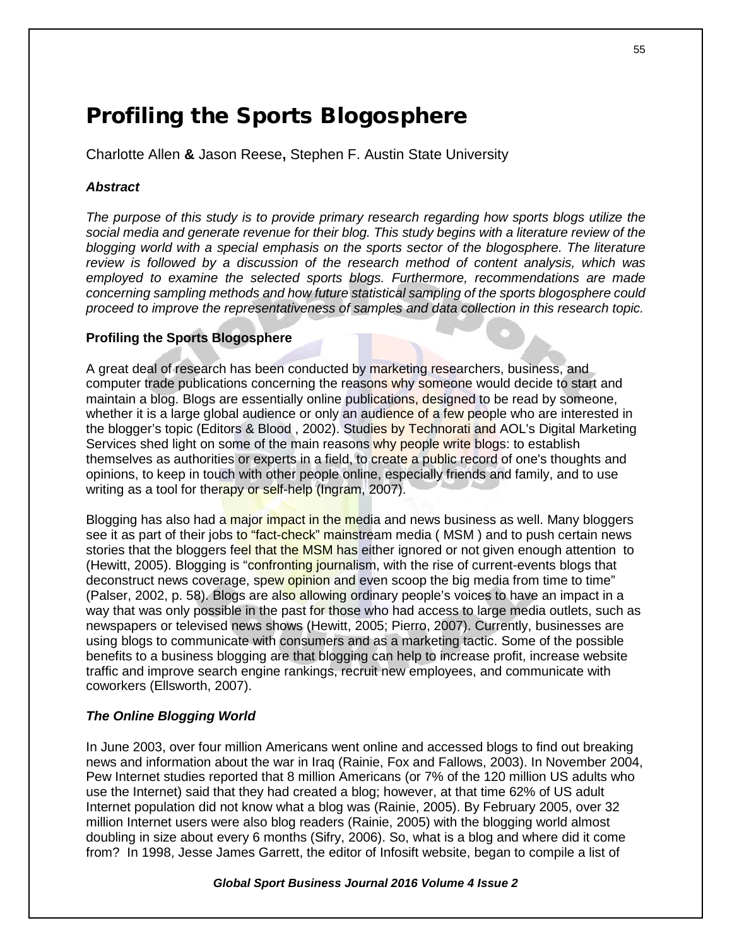# Profiling the Sports Blogosphere

Charlotte Allen **&** Jason Reese**,** Stephen F. Austin State University

# *Abstract*

*The purpose of this study is to provide primary research regarding how sports blogs utilize the social media and generate revenue for their blog. This study begins with a literature review of the blogging world with a special emphasis on the sports sector of the blogosphere. The literature review is followed by a discussion of the research method of content analysis, which was employed to examine the selected sports blogs. Furthermore, recommendations are made concerning sampling methods and how future statistical sampling of the sports blogosphere could proceed to improve the representativeness of samples and data collection in this research topic.*

# **Profiling the Sports Blogosphere**

A great deal of research has been conducted by marketing researchers, business, and computer trade publications concerning the reasons why someone would decide to start and maintain a blog. Blogs are essentially online publications, designed to be read by someone, whether it is a large global audience or only an audience of a few people who are interested in the blogger's topic (Editors & Blood , 2002). Studies by Technorati and AOL's Digital Marketing Services shed light on some of the main reasons why people write blogs: to establish themselves as authorities or experts in a field, to create a public record of one's thoughts and opinions, to keep in touch with other people online, especially friends and family, and to use writing as a tool for the rapy or self-help (Ingram, 2007).

Blogging has also had a major impact in the media and news business as well. Many bloggers see it as part of their jobs to "fact-check" mainstream media (MSM) and to push certain news stories that the bloggers feel that the MSM has either ignored or not given enough attention to (Hewitt, 2005). Blogging is "confronting journalism, with the rise of current-events blogs that deconstruct news coverage, spew opinion and even scoop the big media from time to time" (Palser, 2002, p. 58). Blogs are also allowing ordinary people's voices to have an impact in a way that was only possible in the past for those who had access to large media outlets, such as newspapers or televised news shows (Hewitt, 2005; Pierro, 2007). Currently, businesses are using blogs to communicate with consumers and as a marketing tactic. Some of the possible benefits to a business blogging are that blogging can help to increase profit, increase website traffic and improve search engine rankings, recruit new employees, and communicate with coworkers (Ellsworth, 2007).

# *The Online Blogging World*

In June 2003, over four million Americans went online and accessed blogs to find out breaking news and information about the war in Iraq (Rainie, Fox and Fallows, 2003). In November 2004, Pew Internet studies reported that 8 million Americans (or 7% of the 120 million US adults who use the Internet) said that they had created a blog; however, at that time 62% of US adult Internet population did not know what a blog was (Rainie, 2005). By February 2005, over 32 million Internet users were also blog readers (Rainie, 2005) with the blogging world almost doubling in size about every 6 months (Sifry, 2006). So, what is a blog and where did it come from? In 1998, Jesse James Garrett, the editor of Infosift website, began to compile a list of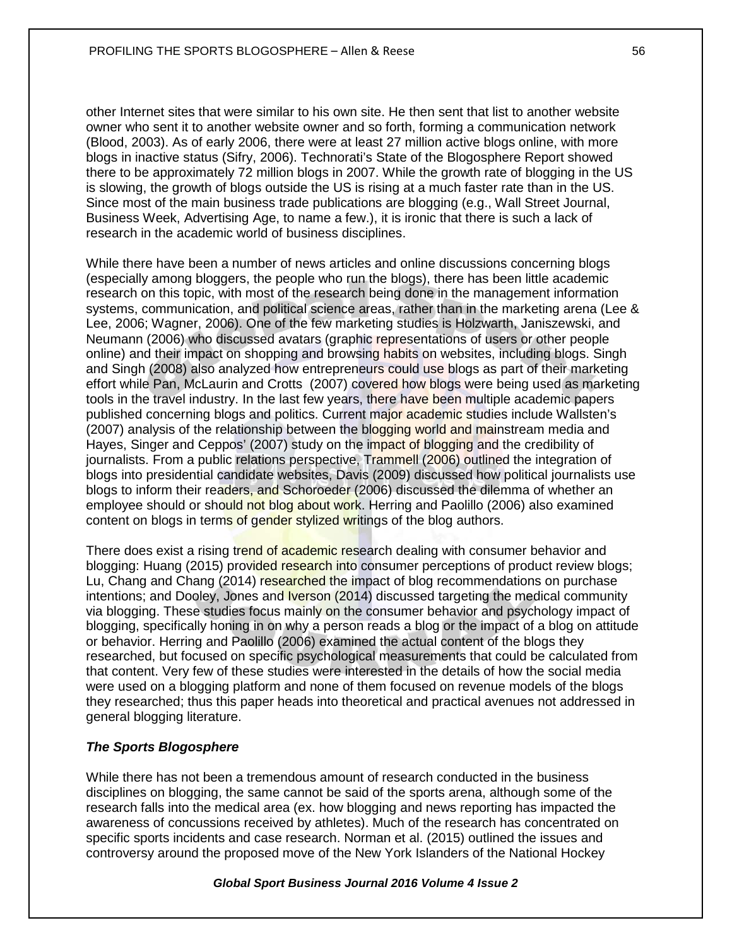other Internet sites that were similar to his own site. He then sent that list to another website owner who sent it to another website owner and so forth, forming a communication network (Blood, 2003). As of early 2006, there were at least 27 million active blogs online, with more blogs in inactive status (Sifry, 2006). Technorati's State of the Blogosphere Report showed there to be approximately 72 million blogs in 2007. While the growth rate of blogging in the US is slowing, the growth of blogs outside the US is rising at a much faster rate than in the US. Since most of the main business trade publications are blogging (e.g., Wall Street Journal, Business Week, Advertising Age, to name a few.), it is ironic that there is such a lack of research in the academic world of business disciplines.

While there have been a number of news articles and online discussions concerning blogs (especially among bloggers, the people who run the blogs), there has been little academic research on this topic, with most of the research being done in the management information systems, communication, and political science areas, rather than in the marketing arena (Lee & Lee, 2006; Wagner, 2006). One of the few marketing studies is Holzwarth, Janiszewski, and Neumann (2006) who discussed avatars (graphic representations of users or other people online) and their impact on shopping and browsing habits on websites, including blogs. Singh and Singh (2008) also analyzed how entrepreneurs could use blogs as part of their marketing effort while Pan, McLaurin and Crotts (2007) covered how blogs were being used as marketing tools in the travel industry. In the last few years, there have been multiple academic papers published concerning blogs and politics. Current major academic studies include Wallsten's (2007) analysis of the relationship between the blogging world and mainstream media and Hayes, Singer and Ceppos' (2007) study on the impact of blogging and the credibility of journalists. From a public relations perspective, Trammell (2006) outlined the integration of blogs into presidential candidate websites, Davis (2009) discussed how political journalists use blogs to inform their readers, and Schoroeder (2006) discussed the dilemma of whether an employee should or should not blog about work. Herring and Paolillo (2006) also examined content on blogs in terms of gender stylized writings of the blog authors.

There does exist a rising trend of academic research dealing with consumer behavior and blogging: Huang (2015) provided research into consumer perceptions of product review blogs; Lu, Chang and Chang (2014) researched the impact of blog recommendations on purchase intentions; and Dooley, Jones and Iverson (2014) discussed targeting the medical community via blogging. These studies focus mainly on the consumer behavior and psychology impact of blogging, specifically honing in on why a person reads a blog or the impact of a blog on attitude or behavior. Herring and Paolillo (2006) examined the actual content of the blogs they researched, but focused on specific psychological measurements that could be calculated from that content. Very few of these studies were interested in the details of how the social media were used on a blogging platform and none of them focused on revenue models of the blogs they researched; thus this paper heads into theoretical and practical avenues not addressed in general blogging literature.

# *The Sports Blogosphere*

While there has not been a tremendous amount of research conducted in the business disciplines on blogging, the same cannot be said of the sports arena, although some of the research falls into the medical area (ex. how blogging and news reporting has impacted the awareness of concussions received by athletes). Much of the research has concentrated on specific sports incidents and case research. Norman et al. (2015) outlined the issues and controversy around the proposed move of the New York Islanders of the National Hockey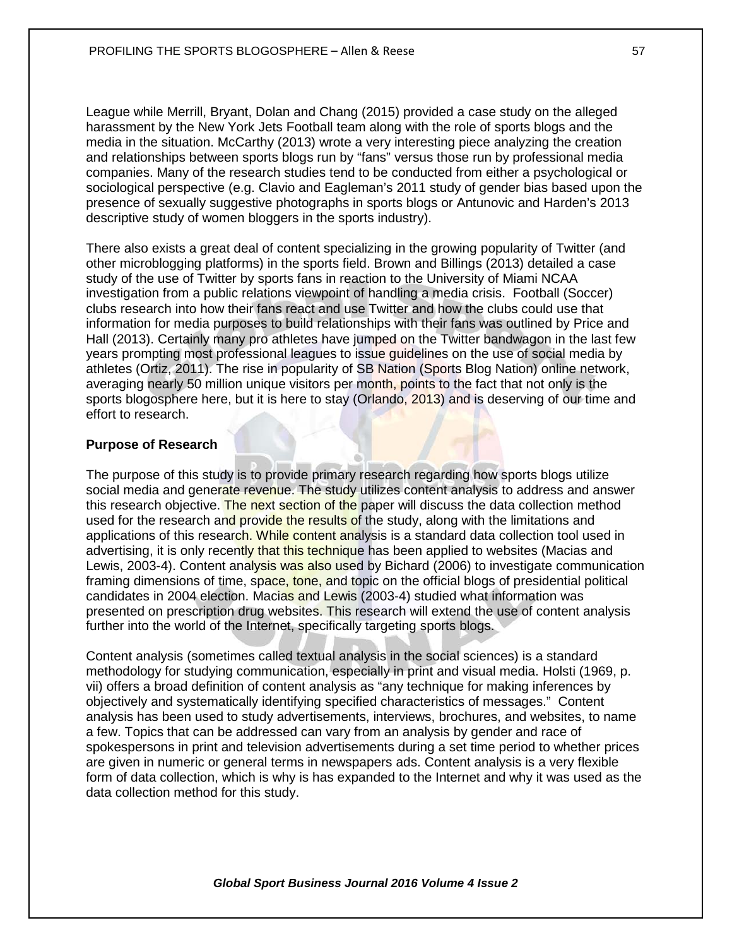League while Merrill, Bryant, Dolan and Chang (2015) provided a case study on the alleged harassment by the New York Jets Football team along with the role of sports blogs and the media in the situation. McCarthy (2013) wrote a very interesting piece analyzing the creation and relationships between sports blogs run by "fans" versus those run by professional media companies. Many of the research studies tend to be conducted from either a psychological or sociological perspective (e.g. Clavio and Eagleman's 2011 study of gender bias based upon the presence of sexually suggestive photographs in sports blogs or Antunovic and Harden's 2013 descriptive study of women bloggers in the sports industry).

There also exists a great deal of content specializing in the growing popularity of Twitter (and other microblogging platforms) in the sports field. Brown and Billings (2013) detailed a case study of the use of Twitter by sports fans in reaction to the University of Miami NCAA investigation from a public relations viewpoint of handling a media crisis. Football (Soccer) clubs research into how their fans react and use Twitter and how the clubs could use that information for media purposes to build relationships with their fans was outlined by Price and Hall (2013). Certainly many pro athletes have jumped on the Twitter bandwagon in the last few years prompting most professional leagues to issue guidelines on the use of social media by athletes (Ortiz, 2011). The rise in popularity of SB Nation (Sports Blog Nation) online network, averaging nearly 50 million unique visitors per month, points to the fact that not only is the sports blogosphere here, but it is here to stay (Orlando, 2013) and is deserving of our time and effort to research.

#### **Purpose of Research**

The purpose of this study is to provide primary research regarding how sports blogs utilize social media and generate revenue. The study utilizes content analysis to address and answer this research objective. The next section of the paper will discuss the data collection method used for the research and provide the results of the study, along with the limitations and applications of this research. While content analysis is a standard data collection tool used in advertising, it is only recently that this technique has been applied to websites (Macias and Lewis, 2003-4). Content analysis was also used by Bichard (2006) to investigate communication framing dimensions of time, space, tone, and topic on the official blogs of presidential political candidates in 2004 election. Macias and Lewis (2003-4) studied what information was presented on prescription drug websites. This research will extend the use of content analysis further into the world of the Internet, specifically targeting sports blogs.

Content analysis (sometimes called textual analysis in the social sciences) is a standard methodology for studying communication, especially in print and visual media. Holsti (1969, p. vii) offers a broad definition of content analysis as "any technique for making inferences by objectively and systematically identifying specified characteristics of messages." Content analysis has been used to study advertisements, interviews, brochures, and websites, to name a few. Topics that can be addressed can vary from an analysis by gender and race of spokespersons in print and television advertisements during a set time period to whether prices are given in numeric or general terms in newspapers ads. Content analysis is a very flexible form of data collection, which is why is has expanded to the Internet and why it was used as the data collection method for this study.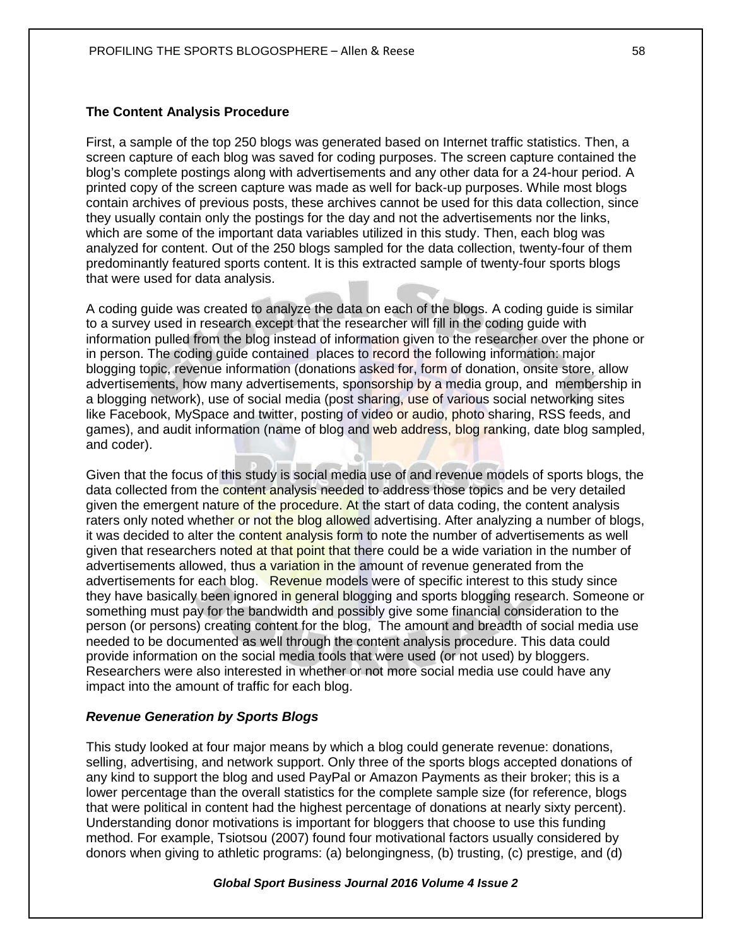## **The Content Analysis Procedure**

First, a sample of the top 250 blogs was generated based on Internet traffic statistics. Then, a screen capture of each blog was saved for coding purposes. The screen capture contained the blog's complete postings along with advertisements and any other data for a 24-hour period. A printed copy of the screen capture was made as well for back-up purposes. While most blogs contain archives of previous posts, these archives cannot be used for this data collection, since they usually contain only the postings for the day and not the advertisements nor the links, which are some of the important data variables utilized in this study. Then, each blog was analyzed for content. Out of the 250 blogs sampled for the data collection, twenty-four of them predominantly featured sports content. It is this extracted sample of twenty-four sports blogs that were used for data analysis.

A coding guide was created to analyze the data on each of the blogs. A coding guide is similar to a survey used in research except that the researcher will fill in the coding guide with information pulled from the blog instead of information given to the researcher over the phone or in person. The coding guide contained places to record the following information: major blogging topic, revenue information (donations asked for, form of donation, onsite store, allow advertisements, how many advertisements, sponsorship by a media group, and membership in a blogging network), use of social media (post sharing, use of various social networking sites like Facebook, MySpace and twitter, posting of video or audio, photo sharing, RSS feeds, and games), and audit information (name of blog and web address, blog ranking, date blog sampled, and coder).

Given that the focus of this study is social media use of and revenue models of sports blogs, the data collected from the content analysis needed to address those topics and be very detailed given the emergent nature of the procedure. At the start of data coding, the content analysis raters only noted whether or not the blog allowed advertising. After analyzing a number of blogs, it was decided to alter the content analysis form to note the number of advertisements as well given that researchers noted at that point that there could be a wide variation in the number of advertisements allowed, thus a variation in the amount of revenue generated from the advertisements for each blog. Revenue models were of specific interest to this study since they have basically been ignored in general blogging and sports blogging research. Someone or something must pay for the bandwidth and possibly give some financial consideration to the person (or persons) creating content for the blog, The amount and breadth of social media use needed to be documented as well through the content analysis procedure. This data could provide information on the social media tools that were used (or not used) by bloggers. Researchers were also interested in whether or not more social media use could have any impact into the amount of traffic for each blog.

## *Revenue Generation by Sports Blogs*

This study looked at four major means by which a blog could generate revenue: donations, selling, advertising, and network support. Only three of the sports blogs accepted donations of any kind to support the blog and used PayPal or Amazon Payments as their broker; this is a lower percentage than the overall statistics for the complete sample size (for reference, blogs that were political in content had the highest percentage of donations at nearly sixty percent). Understanding donor motivations is important for bloggers that choose to use this funding method. For example, Tsiotsou (2007) found four motivational factors usually considered by donors when giving to athletic programs: (a) belongingness, (b) trusting, (c) prestige, and (d)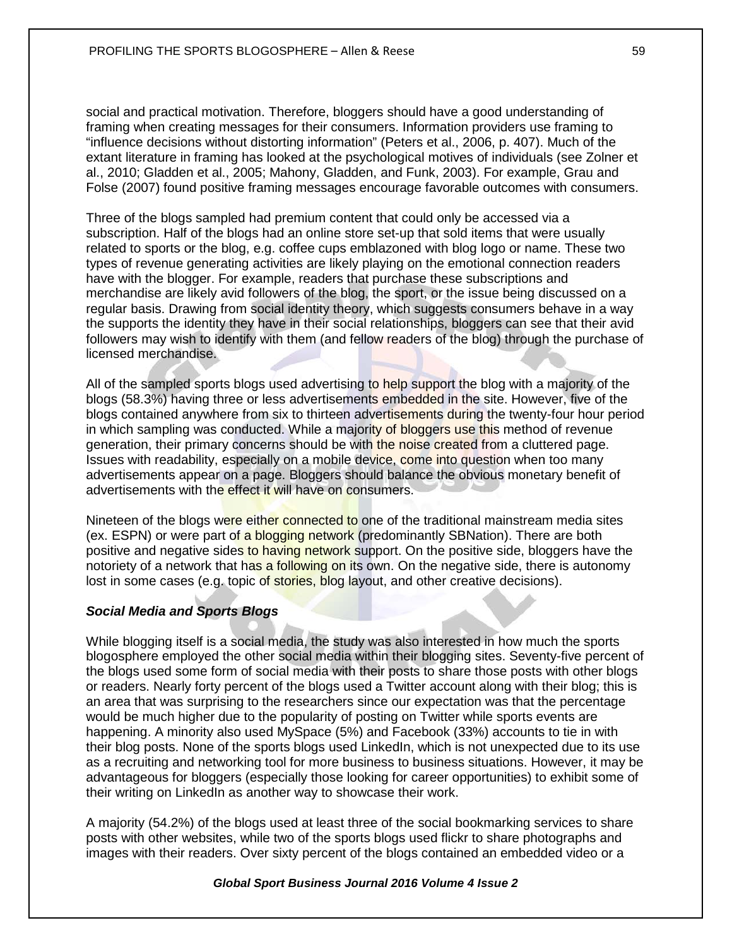social and practical motivation. Therefore, bloggers should have a good understanding of framing when creating messages for their consumers. Information providers use framing to "influence decisions without distorting information" (Peters et al., 2006, p. 407). Much of the extant literature in framing has looked at the psychological motives of individuals (see Zolner et al., 2010; Gladden et al., 2005; Mahony, Gladden, and Funk, 2003). For example, Grau and Folse (2007) found positive framing messages encourage favorable outcomes with consumers.

Three of the blogs sampled had premium content that could only be accessed via a subscription. Half of the blogs had an online store set-up that sold items that were usually related to sports or the blog, e.g. coffee cups emblazoned with blog logo or name. These two types of revenue generating activities are likely playing on the emotional connection readers have with the blogger. For example, readers that purchase these subscriptions and merchandise are likely avid followers of the blog, the sport, or the issue being discussed on a regular basis. Drawing from social identity theory, which suggests consumers behave in a way the supports the identity they have in their social relationships, bloggers can see that their avid followers may wish to identify with them (and fellow readers of the blog) through the purchase of licensed merchandise.

All of the sampled sports blogs used advertising to help support the blog with a majority of the blogs (58.3%) having three or less advertisements embedded in the site. However, five of the blogs contained anywhere from six to thirteen advertisements during the twenty-four hour period in which sampling was conducted. While a majority of bloggers use this method of revenue generation, their primary concerns should be with the noise created from a cluttered page. Issues with readability, especially on a mobile device, come into question when too many advertisements appear on a page. Bloggers should balance the obvious monetary benefit of advertisements with the effect it will have on consumers.

Nineteen of the blogs were either connected to one of the traditional mainstream media sites (ex. ESPN) or were part of a blogging network (predominantly SBNation). There are both positive and negative sides to having network support. On the positive side, bloggers have the notoriety of a network that has a following on its own. On the negative side, there is autonomy lost in some cases (e.g. topic of stories, blog layout, and other creative decisions).

## *Social Media and Sports Blogs*

While blogging itself is a social media, the study was also interested in how much the sports blogosphere employed the other social media within their blogging sites. Seventy-five percent of the blogs used some form of social media with their posts to share those posts with other blogs or readers. Nearly forty percent of the blogs used a Twitter account along with their blog; this is an area that was surprising to the researchers since our expectation was that the percentage would be much higher due to the popularity of posting on Twitter while sports events are happening. A minority also used MySpace (5%) and Facebook (33%) accounts to tie in with their blog posts. None of the sports blogs used LinkedIn, which is not unexpected due to its use as a recruiting and networking tool for more business to business situations. However, it may be advantageous for bloggers (especially those looking for career opportunities) to exhibit some of their writing on LinkedIn as another way to showcase their work.

A majority (54.2%) of the blogs used at least three of the social bookmarking services to share posts with other websites, while two of the sports blogs used flickr to share photographs and images with their readers. Over sixty percent of the blogs contained an embedded video or a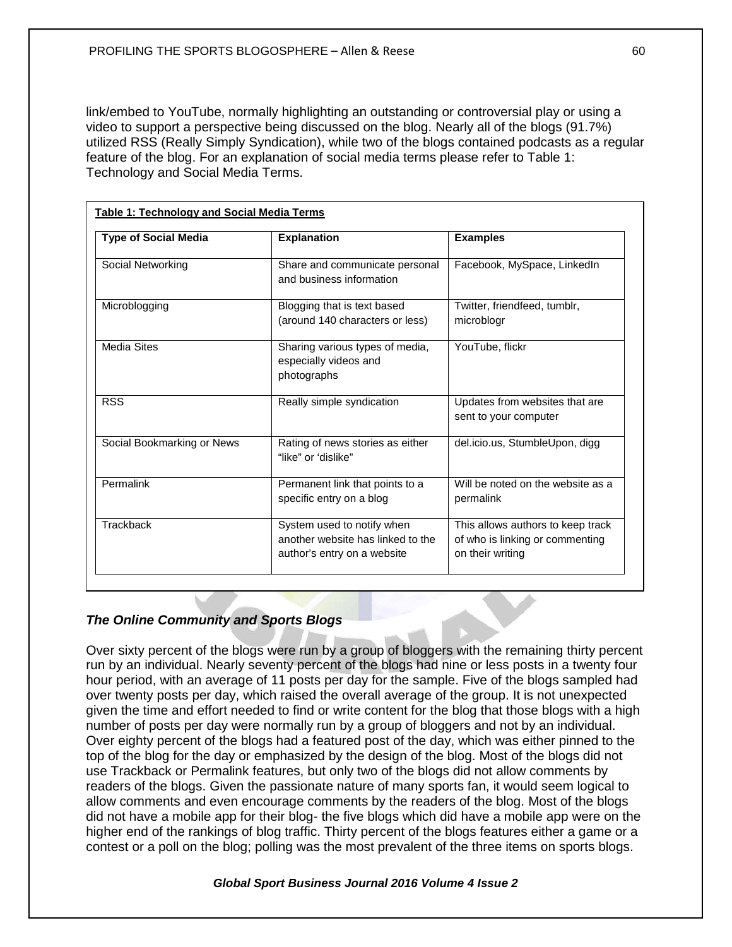link/embed to YouTube, normally highlighting an outstanding or controversial play or using a video to support a perspective being discussed on the blog. Nearly all of the blogs (91.7%) utilized RSS (Really Simply Syndication), while two of the blogs contained podcasts as a regular feature of the blog. For an explanation of social media terms please refer to Table 1: Technology and Social Media Terms.

| <b>Type of Social Media</b> | <b>Explanation</b>                                                                             | <b>Examples</b>                                                                          |
|-----------------------------|------------------------------------------------------------------------------------------------|------------------------------------------------------------------------------------------|
| Social Networking           | Share and communicate personal<br>and business information                                     | Facebook, MySpace, LinkedIn                                                              |
| Microblogging               | Blogging that is text based<br>(around 140 characters or less)                                 | Twitter, friendfeed, tumblr,<br>microblogr                                               |
| <b>Media Sites</b>          | Sharing various types of media,<br>especially videos and<br>photographs                        | YouTube, flickr                                                                          |
| <b>RSS</b>                  | Really simple syndication                                                                      | Updates from websites that are<br>sent to your computer                                  |
| Social Bookmarking or News  | Rating of news stories as either<br>"like" or 'dislike"                                        | del.icio.us, StumbleUpon, digg                                                           |
| Permalink                   | Permanent link that points to a<br>specific entry on a blog                                    | Will be noted on the website as a<br>permalink                                           |
| Trackback                   | System used to notify when<br>another website has linked to the<br>author's entry on a website | This allows authors to keep track<br>of who is linking or commenting<br>on their writing |

# *The Online Community and Sports Blogs*

Over sixty percent of the blogs were run by a group of bloggers with the remaining thirty percent run by an individual. Nearly seventy percent of the blogs had nine or less posts in a twenty four hour period, with an average of 11 posts per day for the sample. Five of the blogs sampled had over twenty posts per day, which raised the overall average of the group. It is not unexpected given the time and effort needed to find or write content for the blog that those blogs with a high number of posts per day were normally run by a group of bloggers and not by an individual. Over eighty percent of the blogs had a featured post of the day, which was either pinned to the top of the blog for the day or emphasized by the design of the blog. Most of the blogs did not use Trackback or Permalink features, but only two of the blogs did not allow comments by readers of the blogs. Given the passionate nature of many sports fan, it would seem logical to allow comments and even encourage comments by the readers of the blog. Most of the blogs did not have a mobile app for their blog- the five blogs which did have a mobile app were on the higher end of the rankings of blog traffic. Thirty percent of the blogs features either a game or a contest or a poll on the blog; polling was the most prevalent of the three items on sports blogs.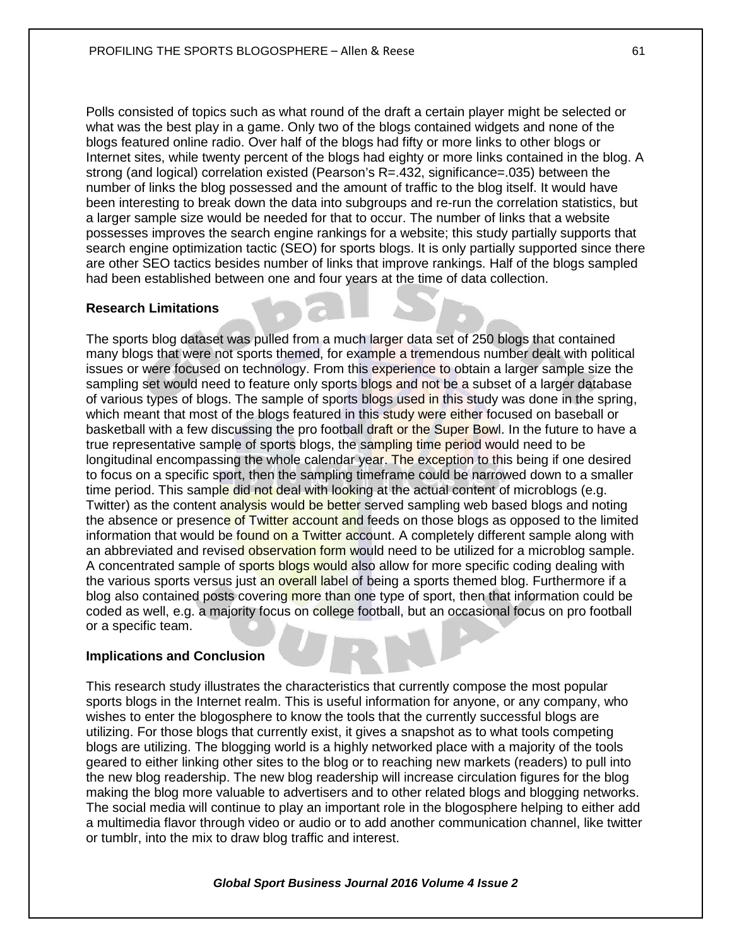Polls consisted of topics such as what round of the draft a certain player might be selected or what was the best play in a game. Only two of the blogs contained widgets and none of the blogs featured online radio. Over half of the blogs had fifty or more links to other blogs or Internet sites, while twenty percent of the blogs had eighty or more links contained in the blog. A strong (and logical) correlation existed (Pearson's R=.432, significance=.035) between the number of links the blog possessed and the amount of traffic to the blog itself. It would have been interesting to break down the data into subgroups and re-run the correlation statistics, but a larger sample size would be needed for that to occur. The number of links that a website possesses improves the search engine rankings for a website; this study partially supports that search engine optimization tactic (SEO) for sports blogs. It is only partially supported since there are other SEO tactics besides number of links that improve rankings. Half of the blogs sampled had been established between one and four years at the time of data collection.

## **Research Limitations**

The sports blog dataset was pulled from a much larger data set of 250 blogs that contained many blogs that were not sports themed, for example a tremendous number dealt with political issues or were focused on technology. From this experience to obtain a larger sample size the sampling set would need to feature only sports blogs and not be a subset of a larger database of various types of blogs. The sample of sports blogs used in this study was done in the spring, which meant that most of the blogs featured in this study were either focused on baseball or basketball with a few discussing the pro football draft or the Super Bowl. In the future to have a true representative sample of sports blogs, the sampling time period would need to be longitudinal encompassing the whole calendar year. The exception to this being if one desired to focus on a specific sport, then the sampling timeframe could be narrowed down to a smaller time period. This sample did not deal with looking at the actual content of microblogs (e.g. Twitter) as the content analysis would be better served sampling web based blogs and noting the absence or presence of Twitter account and feeds on those blogs as opposed to the limited information that would be found on a Twitter account. A completely different sample along with an abbreviated and revised observation form would need to be utilized for a microblog sample. A concentrated sample of sports blogs would also allow for more specific coding dealing with the various sports versus just an overall label of being a sports themed blog. Furthermore if a blog also contained posts covering more than one type of sport, then that information could be coded as well, e.g. a majority focus on college football, but an occasional focus on pro football or a specific team.

## **Implications and Conclusion**

This research study illustrates the characteristics that currently compose the most popular sports blogs in the Internet realm. This is useful information for anyone, or any company, who wishes to enter the blogosphere to know the tools that the currently successful blogs are utilizing. For those blogs that currently exist, it gives a snapshot as to what tools competing blogs are utilizing. The blogging world is a highly networked place with a majority of the tools geared to either linking other sites to the blog or to reaching new markets (readers) to pull into the new blog readership. The new blog readership will increase circulation figures for the blog making the blog more valuable to advertisers and to other related blogs and blogging networks. The social media will continue to play an important role in the blogosphere helping to either add a multimedia flavor through video or audio or to add another communication channel, like twitter or tumblr, into the mix to draw blog traffic and interest.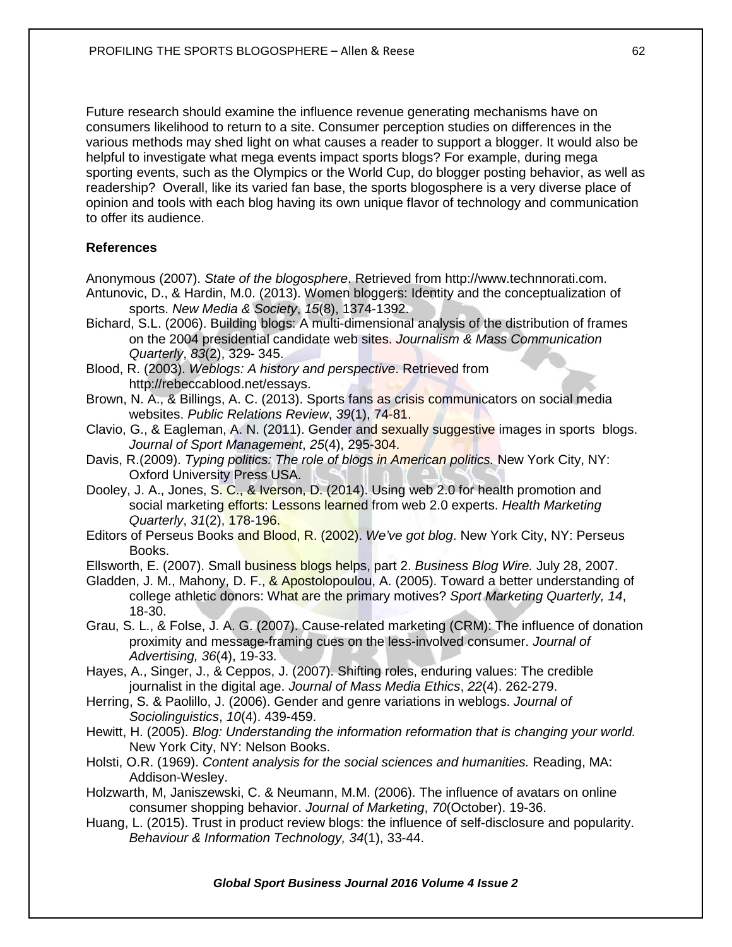Future research should examine the influence revenue generating mechanisms have on consumers likelihood to return to a site. Consumer perception studies on differences in the various methods may shed light on what causes a reader to support a blogger. It would also be helpful to investigate what mega events impact sports blogs? For example, during mega sporting events, such as the Olympics or the World Cup, do blogger posting behavior, as well as readership? Overall, like its varied fan base, the sports blogosphere is a very diverse place of opinion and tools with each blog having its own unique flavor of technology and communication to offer its audience.

## **References**

Anonymous (2007). *State of the blogosphere*. Retrieved from [http://www.technnorati.com.](http://www.technnorati.com/) Antunovic, D., & Hardin, M.0. (2013). Women bloggers: Identity and the conceptualization of sports. *New Media & Society*, *15*(8), 1374-1392.

- Bichard, S.L. (2006). Building blogs: A multi-dimensional analysis of the distribution of frames on the 2004 presidential candidate web sites. *Journalism & Mass Communication Quarterly*, *83*(2), 329- 345.
- Blood, R. (2003). *Weblogs: A history and perspective*. Retrieved from [http://rebeccablood.net/essays.](http://rebeccablood.net/essays)
- Brown, N. A., & Billings, A. C. (2013). Sports fans as crisis communicators on social media websites. *Public Relations Review*, *39*(1), 74-81.
- Clavio, G., & Eagleman, A. N. (2011). Gender and sexually suggestive images in sports blogs. *Journal of Sport Management*, *25*(4), 295-304.
- Davis, R.(2009). *Typing politics: The role of blogs in American politics.* New York City, NY: Oxford University Press USA.
- Dooley, J. A., Jones, S. C., & Iverson, D. (2014). Using web 2.0 for health promotion and social marketing efforts: Lessons learned from web 2.0 experts. *Health Marketing Quarterly*, *31*(2), 178-196.
- Editors of Perseus Books and Blood, R. (2002). *We've got blog*. New York City, NY: Perseus Books.
- Ellsworth, E. (2007). Small business blogs helps, part 2. *Business Blog Wire.* July 28, 2007.
- Gladden, J. M., Mahony, D. F., & Apostolopoulou, A. (2005). Toward a better understanding of college athletic donors: What are the primary motives? *Sport Marketing Quarterly, 14*, 18-30.
- Grau, S. L., & Folse, J. A. G. (2007). Cause-related marketing (CRM): The influence of donation proximity and message-framing cues on the less-involved consumer. *Journal of Advertising, 36*(4), 19-33.
- Hayes, A., Singer, J., & Ceppos, J. (2007). Shifting roles, enduring values: The credible journalist in the digital age. *Journal of Mass Media Ethics*, *22*(4). 262-279.
- Herring, S. & Paolillo, J. (2006). Gender and genre variations in weblogs. *Journal of Sociolinguistics*, *10*(4). 439-459.
- Hewitt, H. (2005). *Blog: Understanding the information reformation that is changing your world.* New York City, NY: Nelson Books.
- Holsti, O.R. (1969). *Content analysis for the social sciences and humanities.* Reading, MA: Addison-Wesley.
- Holzwarth, M, Janiszewski, C. & Neumann, M.M. (2006). The influence of avatars on online consumer shopping behavior. *Journal of Marketing*, *70*(October). 19-36.
- Huang, L. (2015). Trust in product review blogs: the influence of self-disclosure and popularity. *Behaviour & Information Technology, 34*(1), 33-44.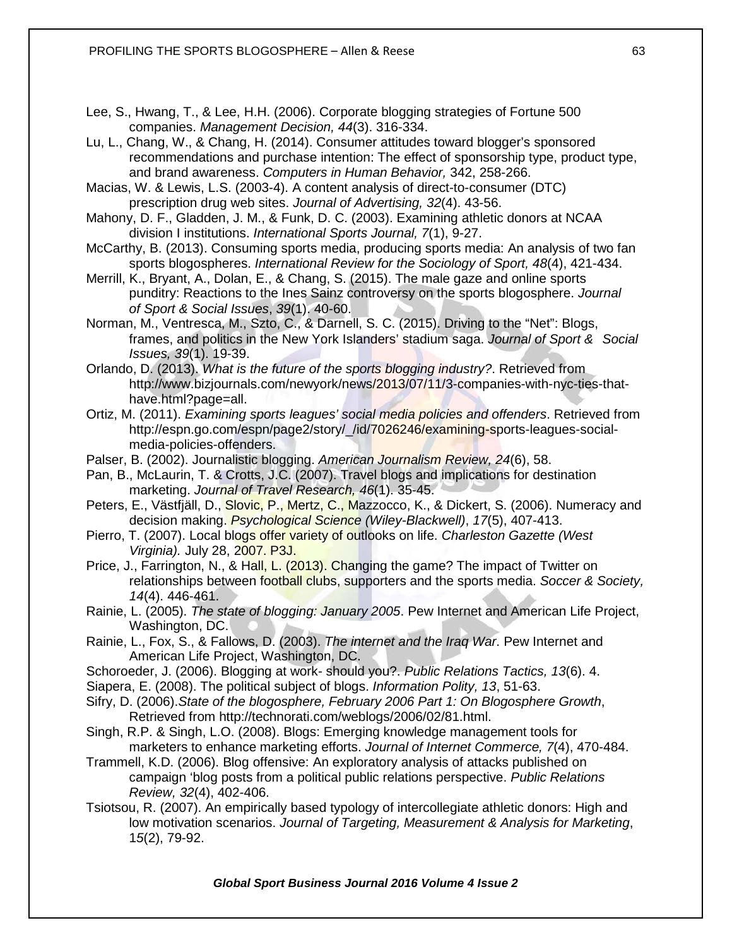- Lee, S., Hwang, T., & Lee, H.H. (2006). Corporate blogging strategies of Fortune 500 companies. *Management Decision, 44*(3). 316-334.
- Lu, L., Chang, W., & Chang, H. (2014). Consumer attitudes toward blogger's sponsored recommendations and purchase intention: The effect of sponsorship type, product type, and brand awareness. *Computers in Human Behavior,* 342, 258-266.

Macias, W. & Lewis, L.S. (2003-4). A content analysis of direct-to-consumer (DTC) prescription drug web sites. *Journal of Advertising, 32*(4). 43-56.

Mahony, D. F., Gladden, J. M., & Funk, D. C. (2003). Examining athletic donors at NCAA division I institutions. *International Sports Journal, 7*(1), 9-27.

McCarthy, B. (2013). Consuming sports media, producing sports media: An analysis of two fan sports blogospheres. *International Review for the Sociology of Sport, 48*(4), 421-434.

Merrill, K., Bryant, A., Dolan, E., & Chang, S. (2015). The male gaze and online sports punditry: Reactions to the Ines Sainz controversy on the sports blogosphere. *Journal of Sport & Social Issues*, *39*(1). 40-60.

Norman, M., Ventresca, M., Szto, C., & Darnell, S. C. (2015). Driving to the "Net": Blogs, frames, and politics in the New York Islanders' stadium saga. *Journal of Sport & Social Issues, 39*(1). 19-39.

Orlando, D. (2013). *What is the future of the sports blogging industry?*. Retrieved from [http://www.bizjournals.com/newyork/news/2013/07/11/3-companies-with-nyc-ties-that](http://www.bizjournals.com/newyork/news/2013/07/11/3-companies-with-nyc-ties-that-)have.html?page=all.

Ortiz, M. (2011). *Examining sports leagues' social media policies and offenders*. Retrieved from [http://espn.go.com/espn/page2/story/\\_/id/7026246/examining-sports-leagues-social](http://espn.go.com/espn/page2/story/_/id/7026246/examining-sports-leagues-social-%09%09media-policies-%20%09offenders)[media-policies-offenders.](http://espn.go.com/espn/page2/story/_/id/7026246/examining-sports-leagues-social-%09%09media-policies-%20%09offenders)

Palser, B. (2002). Journalistic blogging. *American Journalism Review, 24*(6), 58.

Pan, B., McLaurin, T. & Crotts, J.C. (2007). Travel blogs and implications for destination marketing. *Journal of Travel Research, 46*(1). 35-45.

Peters, E., Västfjäll, D., Slovic, P., Mertz, C., Mazzocco, K., & Dickert, S. (2006). Numeracy and decision making. *Psychological Science (Wiley-Blackwell)*, *17*(5), 407-413.

Pierro, T. (2007). Local blogs offer variety of outlooks on life. *Charleston Gazette (West Virginia).* July 28, 2007. P3J.

Price, J., Farrington, N., & Hall, L. (2013). Changing the game? The impact of Twitter on relationships between football clubs, supporters and the sports media. *Soccer & Society, 14*(4). 446-461.

Rainie, L. (2005). *The state of blogging: January 2005*. Pew Internet and American Life Project, Washington, DC.

Rainie, L., Fox, S., & Fallows, D. (2003). *The internet and the Iraq War*. Pew Internet and American Life Project, Washington, DC.

Schoroeder, J. (2006). Blogging at work- should you?. *Public Relations Tactics, 13*(6). 4.

Siapera, E. (2008). The political subject of blogs. *Information Polity, 13*, 51-63.

Sifry, D. (2006).*State of the blogosphere, February 2006 Part 1: On Blogosphere Growth*, Retrieved from [http://technorati.com/weblogs/2006/02/81.html.](http://technorati.com/weblogs/2006/02/81.html)

Singh, R.P. & Singh, L.O. (2008). Blogs: Emerging knowledge management tools for marketers to enhance marketing efforts. *Journal of Internet Commerce, 7*(4), 470-484.

Trammell, K.D. (2006). Blog offensive: An exploratory analysis of attacks published on campaign 'blog posts from a political public relations perspective. *Public Relations Review, 32*(4), 402-406.

Tsiotsou, R. (2007). An empirically based typology of intercollegiate athletic donors: High and low motivation scenarios. *Journal of Targeting, Measurement & Analysis for Marketing*, 1*5*(2), 79-92.